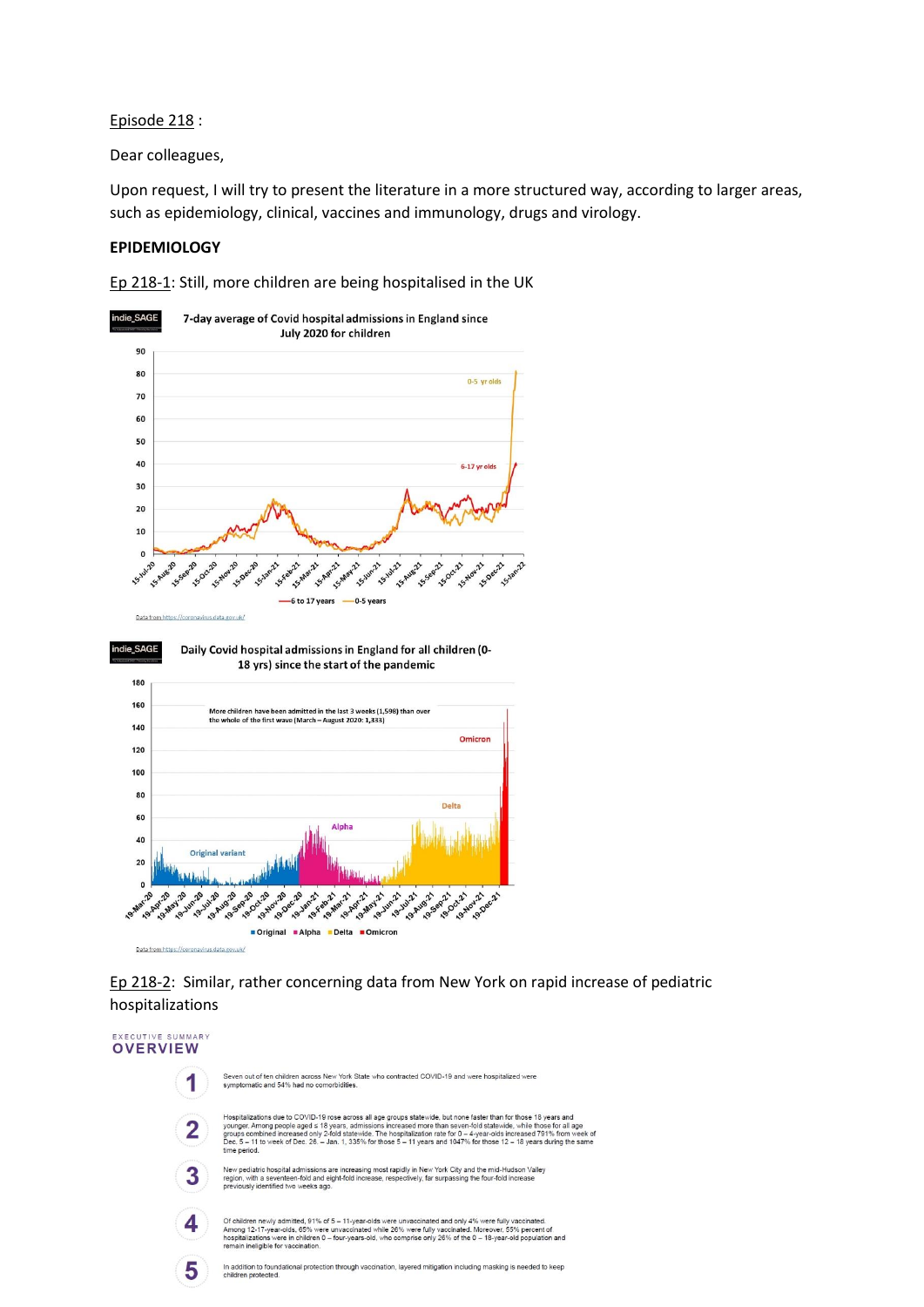### Episode 218 :

Dear colleagues,

Upon request, I will try to present the literature in a more structured way, according to larger areas, such as epidemiology, clinical, vaccines and immunology, drugs and virology.

### **EPIDEMIOLOGY**

Ep 218-1: Still, more children are being hospitalised in the UK





# Ep 218-2: Similar, rather concerning data from New York on rapid increase of pediatric hospitalizations

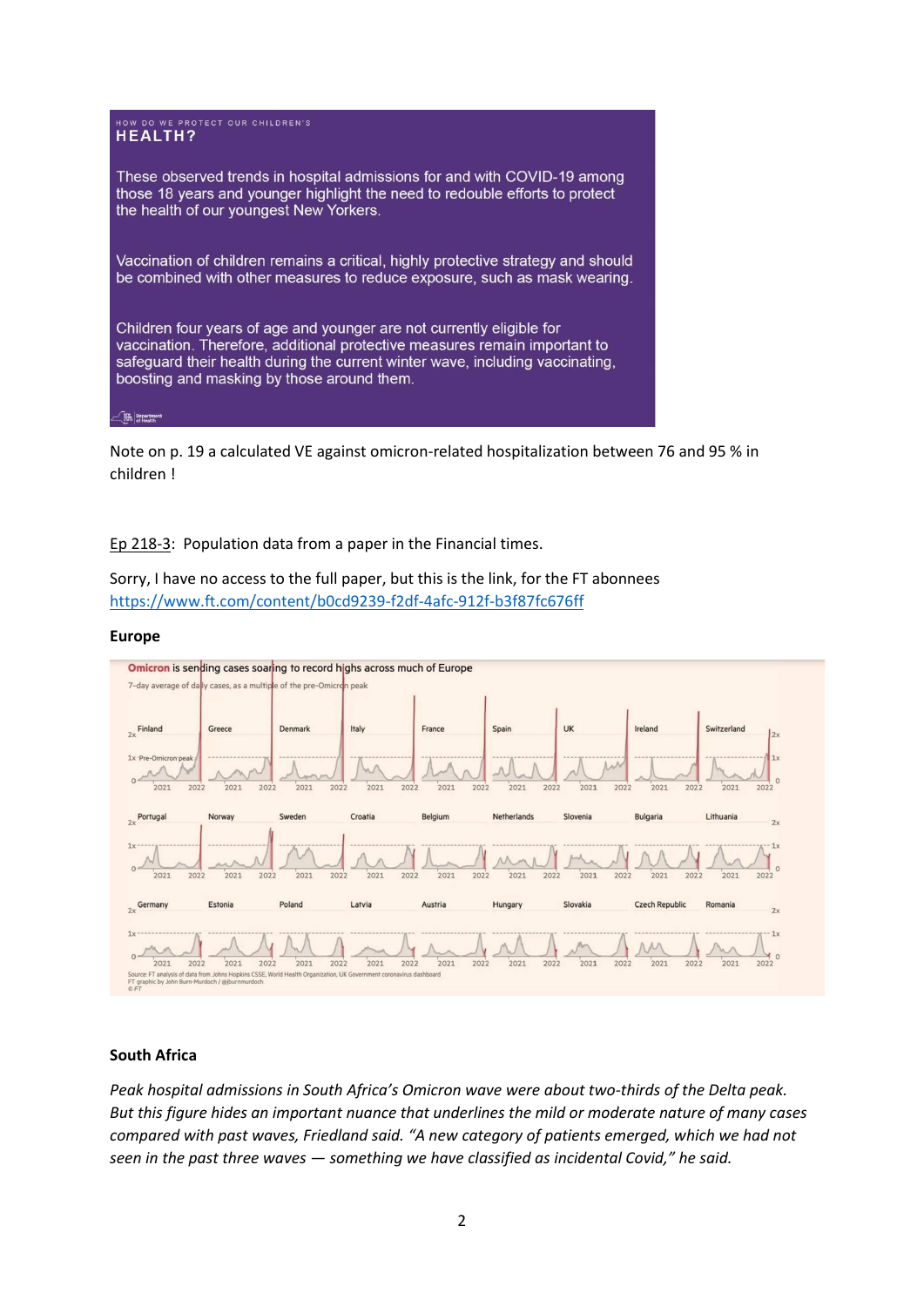

Note on p. 19 a calculated VE against omicron-related hospitalization between 76 and 95 % in children !

Ep 218-3: Population data from a paper in the Financial times.

Sorry, I have no access to the full paper, but this is the link, for the FT abonnees <https://www.ft.com/content/b0cd9239-f2df-4afc-912f-b3f87fc676ff>

#### **Europe**



# **South Africa**

*Peak hospital admissions in South Africa's Omicron wave were about two-thirds of the Delta peak. But this figure hides an important nuance that underlines the mild or moderate nature of many cases compared with past waves, Friedland said. "A new category of patients emerged, which we had not seen in the past three waves — something we have classified as incidental Covid," he said.*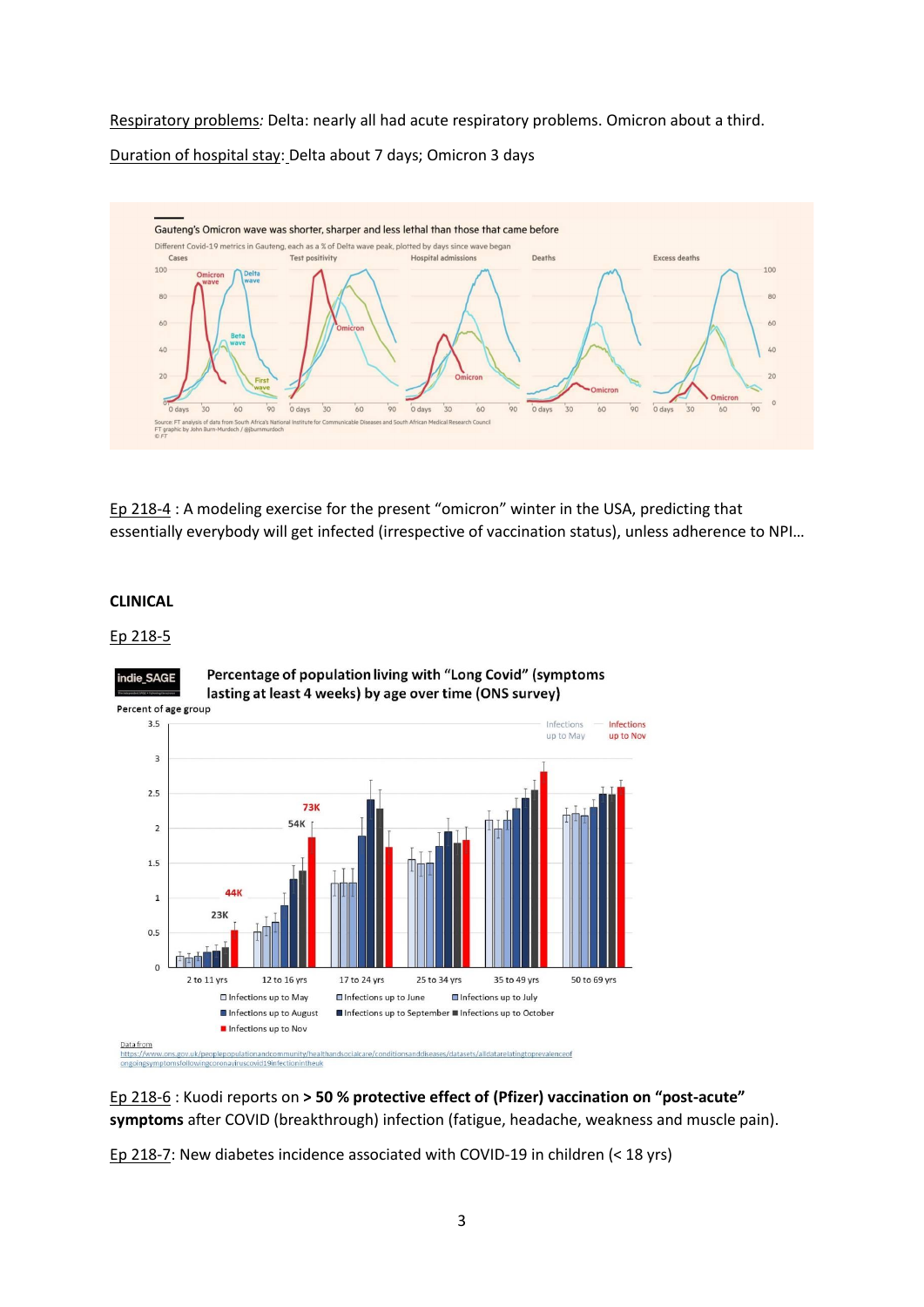Respiratory problems*:* Delta: nearly all had acute respiratory problems. Omicron about a third. Duration of hospital stay: Delta about 7 days; Omicron 3 days



Ep 218-4 : A modeling exercise for the present "omicron" winter in the USA, predicting that essentially everybody will get infected (irrespective of vaccination status), unless adherence to NPI…

### **CLINICAL**

## Ep 218-5



Percentage of population living with "Long Covid" (symptoms

Percent of age group

Ep 218-6 : Kuodi reports on **> 50 % protective effect of (Pfizer) vaccination on "post-acute" symptoms** after COVID (breakthrough) infection (fatigue, headache, weakness and muscle pain).

Ep 218-7: New diabetes incidence associated with COVID-19 in children (< 18 yrs)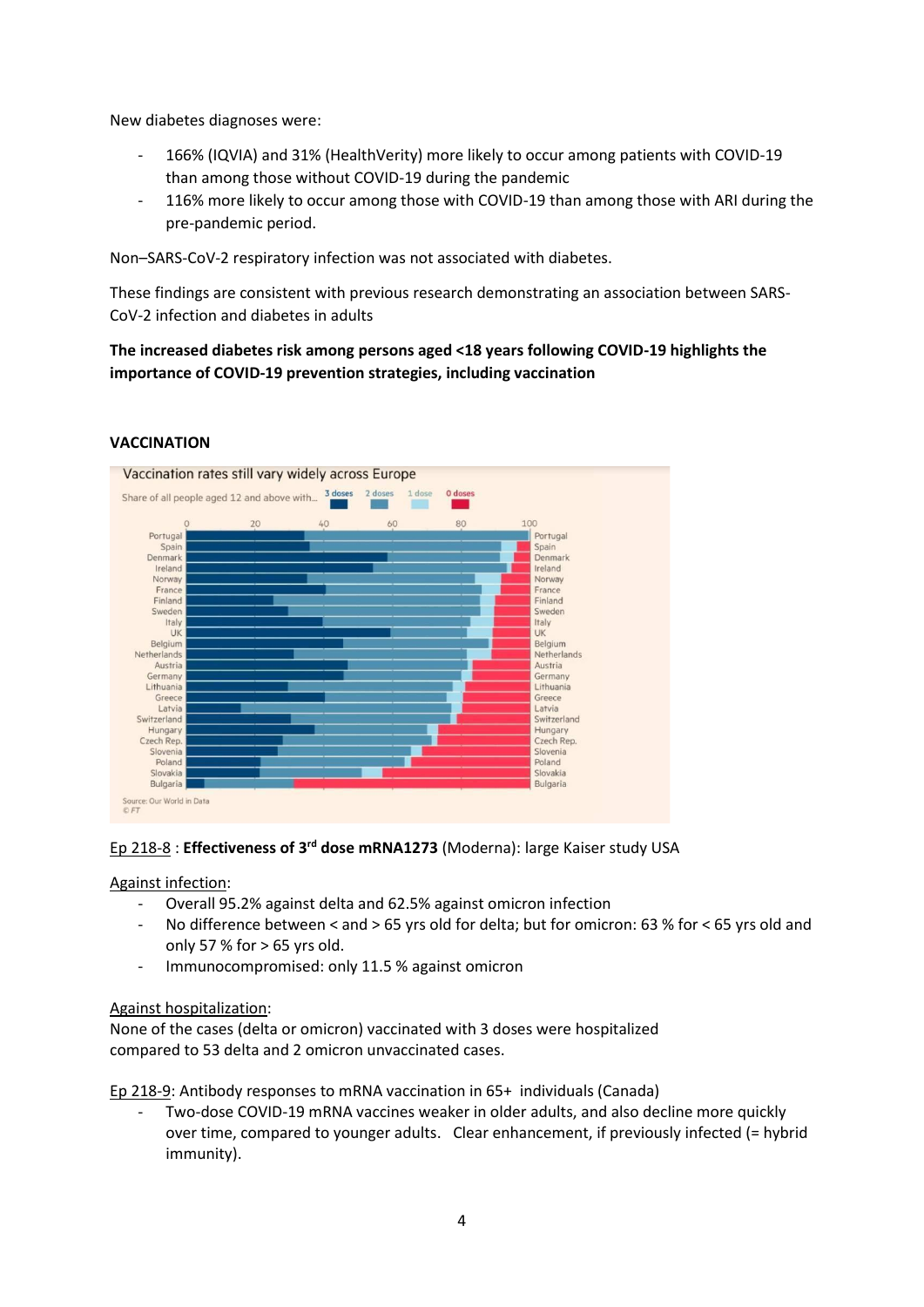New diabetes diagnoses were:

- 166% (IQVIA) and 31% (HealthVerity) more likely to occur among patients with COVID-19 than among those without COVID-19 during the pandemic
- 116% more likely to occur among those with COVID-19 than among those with ARI during the pre-pandemic period.

Non–SARS-CoV-2 respiratory infection was not associated with diabetes.

These findings are consistent with previous research demonstrating an association between SARS-CoV-2 infection and diabetes in adults

**The increased diabetes risk among persons aged <18 years following COVID-19 highlights the importance of COVID-19 prevention strategies, including vaccination** 



# **VACCINATION**

## Ep 218-8 : **Effectiveness of 3 rd dose mRNA1273** (Moderna): large Kaiser study USA

Against infection:

- Overall 95.2% against delta and 62.5% against omicron infection
- No difference between < and > 65 yrs old for delta; but for omicron: 63 % for < 65 yrs old and only 57 % for  $> 65$  yrs old.
- Immunocompromised: only 11.5 % against omicron

## Against hospitalization:

None of the cases (delta or omicron) vaccinated with 3 doses were hospitalized compared to 53 delta and 2 omicron unvaccinated cases.

Ep 218-9: Antibody responses to mRNA vaccination in 65+ individuals (Canada)

Two-dose COVID-19 mRNA vaccines weaker in older adults, and also decline more quickly over time, compared to younger adults. Clear enhancement, if previously infected (= hybrid immunity).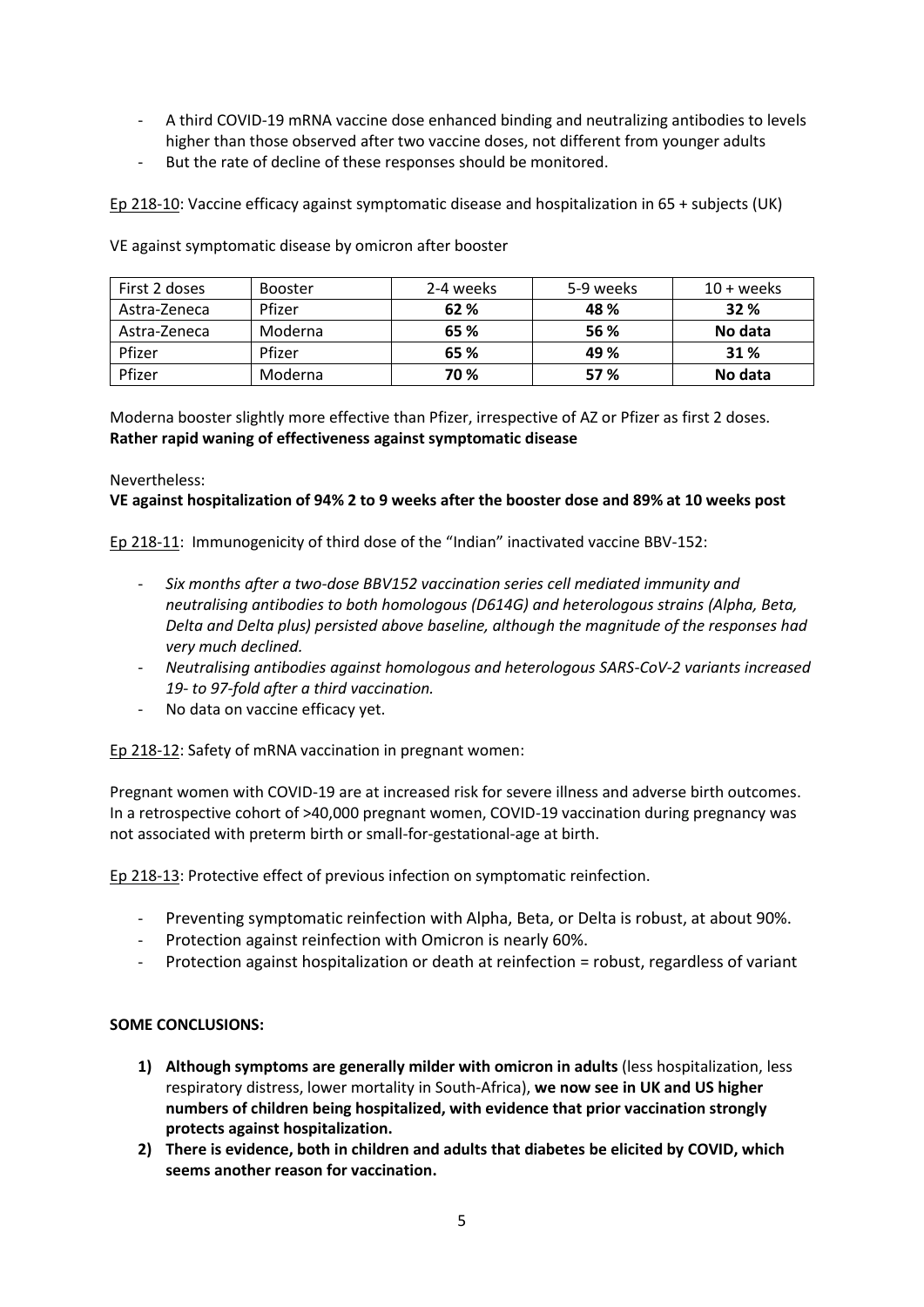- A third COVID-19 mRNA vaccine dose enhanced binding and neutralizing antibodies to levels higher than those observed after two vaccine doses, not different from younger adults
- But the rate of decline of these responses should be monitored.

Ep 218-10: Vaccine efficacy against symptomatic disease and hospitalization in 65 + subjects (UK)

| First 2 doses | Booster | 2-4 weeks | 5-9 weeks | $10 + weeks$ |
|---------------|---------|-----------|-----------|--------------|
| Astra-Zeneca  | Pfizer  | 62 %      | 48 %      | 32%          |
| Astra-Zeneca  | Moderna | 65 %      | 56 %      | No data      |
| Pfizer        | Pfizer  | 65 %      | 49 %      | 31 %         |
| Pfizer        | Moderna | 70 %      | 57 %      | No data      |

VE against symptomatic disease by omicron after booster

Moderna booster slightly more effective than Pfizer, irrespective of AZ or Pfizer as first 2 doses. **Rather rapid waning of effectiveness against symptomatic disease**

## Nevertheless:

## **VE against hospitalization of 94% 2 to 9 weeks after the booster dose and 89% at 10 weeks post**

Ep 218-11: Immunogenicity of third dose of the "Indian" inactivated vaccine BBV-152:

- *Six months after a two-dose BBV152 vaccination series cell mediated immunity and neutralising antibodies to both homologous (D614G) and heterologous strains (Alpha, Beta, Delta and Delta plus) persisted above baseline, although the magnitude of the responses had very much declined.*
- *Neutralising antibodies against homologous and heterologous SARS-CoV-2 variants increased 19- to 97-fold after a third vaccination.*
- No data on vaccine efficacy yet.

Ep 218-12: Safety of mRNA vaccination in pregnant women:

Pregnant women with COVID-19 are at increased risk for severe illness and adverse birth outcomes. In a retrospective cohort of >40,000 pregnant women, COVID-19 vaccination during pregnancy was not associated with preterm birth or small-for-gestational-age at birth.

Ep 218-13: Protective effect of previous infection on symptomatic reinfection.

- Preventing symptomatic reinfection with Alpha, Beta, or Delta is robust, at about 90%.
- Protection against reinfection with Omicron is nearly 60%.
- Protection against hospitalization or death at reinfection = robust, regardless of variant

## **SOME CONCLUSIONS:**

- **1) Although symptoms are generally milder with omicron in adults** (less hospitalization, less respiratory distress, lower mortality in South-Africa), **we now see in UK and US higher numbers of children being hospitalized, with evidence that prior vaccination strongly protects against hospitalization.**
- **2) There is evidence, both in children and adults that diabetes be elicited by COVID, which seems another reason for vaccination.**